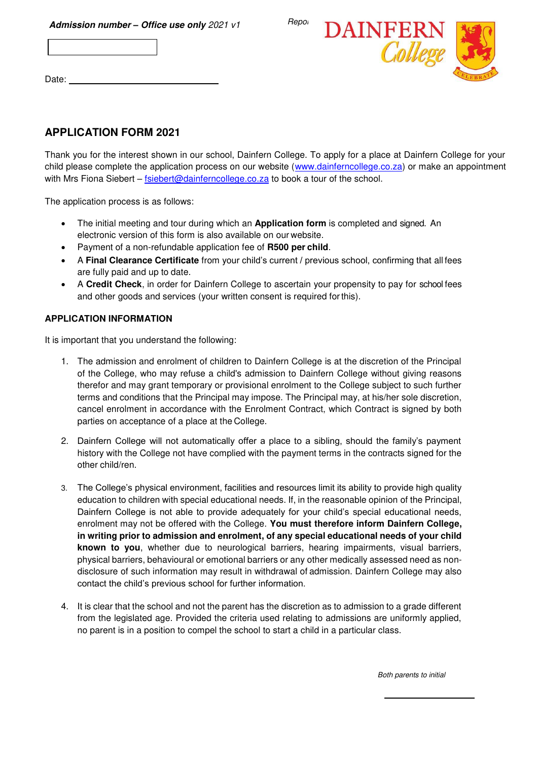

Date: \_



## **APPLICATION FORM 2021**

Thank you for the interest shown in our school, Dainfern College. To apply for a place at Dainfern College for your child please complete the application process on our website [\(www.dainferncollege.co.za\)](http://www.dainferncollege.co.za/) or make an appointment with Mrs Fiona Siebert – [fsiebert@dainferncollege.co.za](mailto:fsiebert@dainferncollege.co.za) to book a tour of the school.

The application process is as follows:

- The initial meeting and tour during which an **Application form** is completed and signed. An electronic version of this form is also available on our website.
- Payment of a non-refundable application fee of **R500 per child**.
- A **Final Clearance Certificate** from your child's current / previous school, confirming that all fees are fully paid and up to date.
- A **Credit Check**, in order for Dainfern College to ascertain your propensity to pay for school fees and other goods and services (your written consent is required for this).

## **APPLICATION INFORMATION**

It is important that you understand the following:

- 1. The admission and enrolment of children to Dainfern College is at the discretion of the Principal of the College, who may refuse a child's admission to Dainfern College without giving reasons therefor and may grant temporary or provisional enrolment to the College subject to such further terms and conditions that the Principal may impose. The Principal may, at his/her sole discretion, cancel enrolment in accordance with the Enrolment Contract, which Contract is signed by both parties on acceptance of a place at the College.
- 2. Dainfern College will not automatically offer a place to a sibling, should the family's payment history with the College not have complied with the payment terms in the contracts signed for the other child/ren.
- 3. The College's physical environment, facilities and resources limit its ability to provide high quality education to children with special educational needs. If, in the reasonable opinion of the Principal, Dainfern College is not able to provide adequately for your child's special educational needs, enrolment may not be offered with the College. **You must therefore inform Dainfern College, in writing prior to admission and enrolment, of any special educational needs of your child known to you**, whether due to neurological barriers, hearing impairments, visual barriers, physical barriers, behavioural or emotional barriers or any other medically assessed need as nondisclosure of such information may result in withdrawal of admission. Dainfern College may also contact the child's previous school for further information.
- 4. It is clear that the school and not the parent has the discretion as to admission to a grade different from the legislated age. Provided the criteria used relating to admissions are uniformly applied, no parent is in a position to compel the school to start a child in a particular class.

Both parents to initial